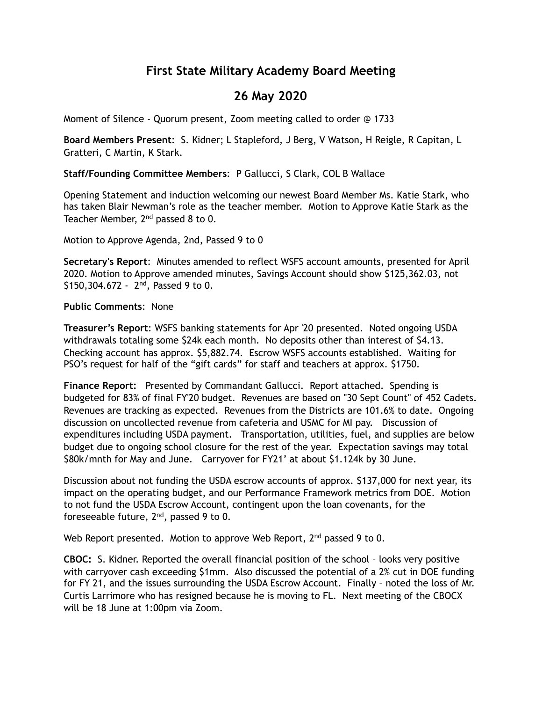# **First State Military Academy Board Meeting**

# **26 May 2020**

Moment of Silence - Quorum present, Zoom meeting called to order @ 1733

**Board Members Present**: S. Kidner; L Stapleford, J Berg, V Watson, H Reigle, R Capitan, L Gratteri, C Martin, K Stark.

## **Staff/Founding Committee Members**: P Gallucci, S Clark, COL B Wallace

Opening Statement and induction welcoming our newest Board Member Ms. Katie Stark, who has taken Blair Newman's role as the teacher member. Motion to Approve Katie Stark as the Teacher Member, 2nd passed 8 to 0.

Motion to Approve Agenda, 2nd, Passed 9 to 0

**Secretary's Report**: Minutes amended to reflect WSFS account amounts, presented for April 2020. Motion to Approve amended minutes, Savings Account should show \$125,362.03, not \$150,304.672 -  $2^{nd}$ , Passed 9 to 0.

#### **Public Comments**: None

**Treasurer's Report**: WSFS banking statements for Apr '20 presented. Noted ongoing USDA withdrawals totaling some \$24k each month. No deposits other than interest of \$4.13. Checking account has approx. \$5,882.74. Escrow WSFS accounts established. Waiting for PSO's request for half of the "gift cards" for staff and teachers at approx. \$1750.

**Finance Report:** Presented by Commandant Gallucci. Report attached. Spending is budgeted for 83% of final FY'20 budget. Revenues are based on "30 Sept Count" of 452 Cadets. Revenues are tracking as expected. Revenues from the Districts are 101.6% to date. Ongoing discussion on uncollected revenue from cafeteria and USMC for MI pay. Discussion of expenditures including USDA payment. Transportation, utilities, fuel, and supplies are below budget due to ongoing school closure for the rest of the year. Expectation savings may total \$80k/mnth for May and June. Carryover for FY21' at about \$1.124k by 30 June.

Discussion about not funding the USDA escrow accounts of approx. \$137,000 for next year, its impact on the operating budget, and our Performance Framework metrics from DOE. Motion to not fund the USDA Escrow Account, contingent upon the loan covenants, for the foreseeable future, 2nd, passed 9 to 0.

Web Report presented. Motion to approve Web Report, 2<sup>nd</sup> passed 9 to 0.

**CBOC:** S. Kidner. Reported the overall financial position of the school – looks very positive with carryover cash exceeding \$1mm. Also discussed the potential of a 2% cut in DOE funding for FY 21, and the issues surrounding the USDA Escrow Account. Finally – noted the loss of Mr. Curtis Larrimore who has resigned because he is moving to FL. Next meeting of the CBOCX will be 18 June at 1:00pm via Zoom.